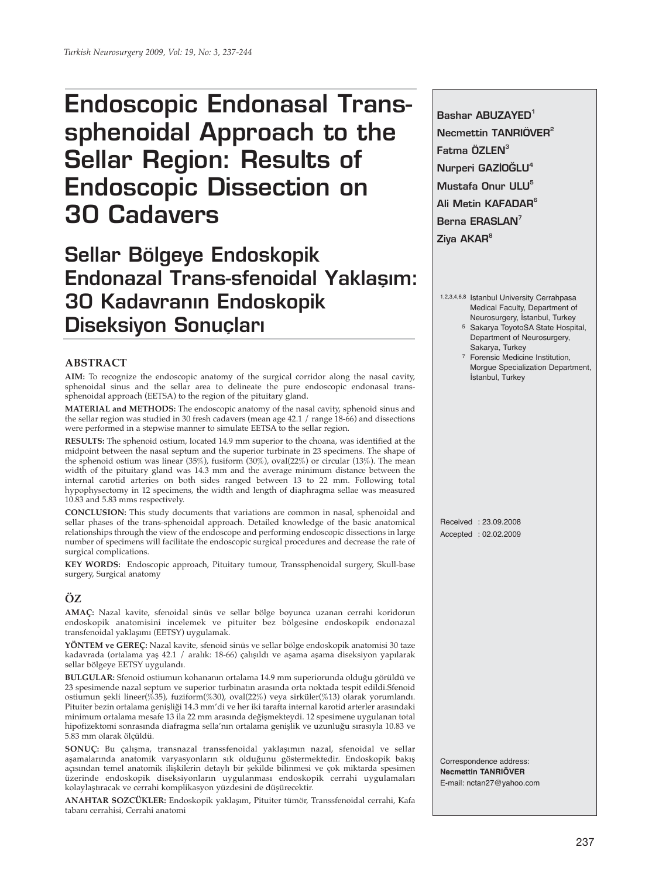# **Endoscopic Endonasal Transsphenoidal Approach to the Sellar Region: Results of Endoscopic Dissection on 30 Cadavers**

**Sellar Bölgeye Endoskopik Endonazal Trans-sfenoidal Yaklasım: 30 Kadavranın Endoskopik Diseksiyon Sonuçlar›**

### **ABSTRACT**

**AIM:** To recognize the endoscopic anatomy of the surgical corridor along the nasal cavity, sphenoidal sinus and the sellar area to delineate the pure endoscopic endonasal transsphenoidal approach (EETSA) to the region of the pituitary gland.

**MATERIAL and METHODS:** The endoscopic anatomy of the nasal cavity, sphenoid sinus and the sellar region was studied in 30 fresh cadavers (mean age 42.1 / range 18-66) and dissections were performed in a stepwise manner to simulate EETSA to the sellar region.

**RESULTS:** The sphenoid ostium, located 14.9 mm superior to the choana, was identified at the midpoint between the nasal septum and the superior turbinate in 23 specimens. The shape of the sphenoid ostium was linear (35%), fusiform (30%), oval(22%) or circular (13%). The mean width of the pituitary gland was 14.3 mm and the average minimum distance between the internal carotid arteries on both sides ranged between 13 to 22 mm. Following total hypophysectomy in 12 specimens, the width and length of diaphragma sellae was measured 10.83 and 5.83 mms respectively.

**CONCLUSION:** This study documents that variations are common in nasal, sphenoidal and sellar phases of the trans-sphenoidal approach. Detailed knowledge of the basic anatomical relationships through the view of the endoscope and performing endoscopic dissections in large number of specimens will facilitate the endoscopic surgical procedures and decrease the rate of surgical complications.

**KEY WORDS:** Endoscopic approach, Pituitary tumour, Transsphenoidal surgery, Skull-base surgery, Surgical anatomy

## **ÖZ**

**AMAÇ:** Nazal kavite, sfenoidal sinüs ve sellar bölge boyunca uzanan cerrahi koridorun endoskopik anatomisini incelemek ve pituiter bez bölgesine endoskopik endonazal transfenoidal yaklaşımı (EETSY) uygulamak.

**YÖNTEM ve GEREÇ:** Nazal kavite, sfenoid sinüs ve sellar bölge endoskopik anatomisi 30 taze kadavrada (ortalama yaş 42.1 / aralık: 18-66) çalışıldı ve aşama aşama diseksiyon yapılarak sellar bölgeye EETSY uygulandı.

**BULGULAR:** Sfenoid ostiumun kohananın ortalama 14.9 mm superiorunda olduğu görüldü ve 23 spesimende nazal septum ve superior turbinatın arasında orta noktada tespit edildi.Sfenoid ostiumun şekli lineer(%35), fuziform(%30), oval(22%) veya sirküler(%13) olarak yorumlandı. Pituiter bezin ortalama genişliği 14.3 mm'di ve her iki tarafta internal karotid arterler arasındaki minimum ortalama mesafe 13 ila 22 mm arasında değişmekteydi. 12 spesimene uygulanan total hipofizektomi sonrasında diafragma sella'nın ortalama genişlik ve uzunluğu sırasıyla 10.83 ve 5.83 mm olarak ölçüldü.

**SONUÇ:** Bu çalışma, transnazal transsfenoidal yaklaşımın nazal, sfenoidal ve sellar aşamalarında anatomik varyasyonların sık olduğunu göstermektedir. Endoskopik bakış açısından temel anatomik ilişkilerin detaylı bir şekilde bilinmesi ve çok miktarda spesimen üzerinde endoskopik diseksiyonların uygulanması endoskopik cerrahi uygulamaları kolaylaştıracak ve cerrahi komplikasyon yüzdesini de düşürecektir.

**ANAHTAR SOZCÜKLER:** Endoskopik yaklaşım, Pituiter tümör, Transsfenoidal cerrahi, Kafa tabanı cerrahisi, Cerrahi anatomi

**Bashar ABUZAYED1 Necmettin TANRIÖVER2 Fatma ÖZLEN3 Nurperi GAZİOĞLU<sup>4</sup> Mustafa Onur ULU5 Ali Metin KAFADAR6 Berna ERASLAN<sup>7</sup> Ziya AKAR8**

1,2,3,4,6,8 Istanbul University Cerrahpasa Medical Faculty, Department of Neurosurgery, İstanbul, Turkey

- 5 Sakarya ToyotoSA State Hospital, Department of Neurosurgery, Sakarya, Turkey
- 7 Forensic Medicine Institution, Morgue Specialization Department, İstanbul, Turkey

Received : 23.09.2008 Accepted : 02.02.2009

Correspondence address: **Necmettin TANRIÖVER** E-mail: nctan27@yahoo.com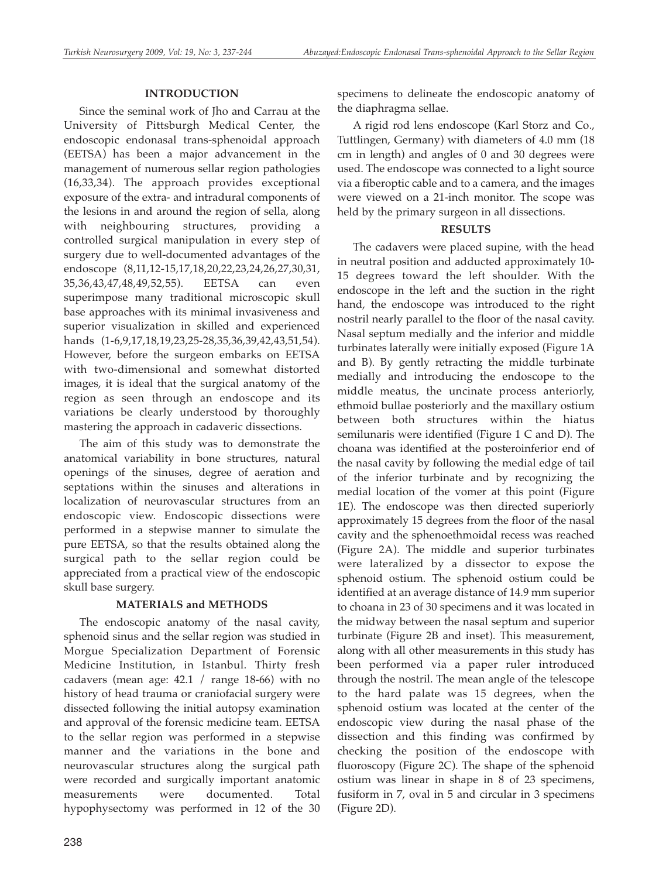# **INTRODUCTION**

Since the seminal work of Jho and Carrau at the University of Pittsburgh Medical Center, the endoscopic endonasal trans-sphenoidal approach (EETSA) has been a major advancement in the management of numerous sellar region pathologies (16,33,34). The approach provides exceptional exposure of the extra- and intradural components of the lesions in and around the region of sella, along with neighbouring structures, providing a controlled surgical manipulation in every step of surgery due to well-documented advantages of the endoscope (8,11,12-15,17,18,20,22,23,24,26,27,30,31, 35,36,43,47,48,49,52,55). EETSA can even superimpose many traditional microscopic skull base approaches with its minimal invasiveness and superior visualization in skilled and experienced hands (1-6,9,17,18,19,23,25-28,35,36,39,42,43,51,54). However, before the surgeon embarks on EETSA with two-dimensional and somewhat distorted images, it is ideal that the surgical anatomy of the region as seen through an endoscope and its variations be clearly understood by thoroughly mastering the approach in cadaveric dissections.

The aim of this study was to demonstrate the anatomical variability in bone structures, natural openings of the sinuses, degree of aeration and septations within the sinuses and alterations in localization of neurovascular structures from an endoscopic view. Endoscopic dissections were performed in a stepwise manner to simulate the pure EETSA, so that the results obtained along the surgical path to the sellar region could be appreciated from a practical view of the endoscopic skull base surgery.

# **MATERIALS and METHODS**

The endoscopic anatomy of the nasal cavity, sphenoid sinus and the sellar region was studied in Morgue Specialization Department of Forensic Medicine Institution, in Istanbul. Thirty fresh cadavers (mean age: 42.1 / range 18-66) with no history of head trauma or craniofacial surgery were dissected following the initial autopsy examination and approval of the forensic medicine team. EETSA to the sellar region was performed in a stepwise manner and the variations in the bone and neurovascular structures along the surgical path were recorded and surgically important anatomic measurements were documented. Total hypophysectomy was performed in 12 of the 30

238

specimens to delineate the endoscopic anatomy of the diaphragma sellae.

A rigid rod lens endoscope (Karl Storz and Co., Tuttlingen, Germany) with diameters of 4.0 mm (18 cm in length) and angles of 0 and 30 degrees were used. The endoscope was connected to a light source via a fiberoptic cable and to a camera, and the images were viewed on a 21-inch monitor. The scope was held by the primary surgeon in all dissections.

# **RESULTS**

The cadavers were placed supine, with the head in neutral position and adducted approximately 10- 15 degrees toward the left shoulder. With the endoscope in the left and the suction in the right hand, the endoscope was introduced to the right nostril nearly parallel to the floor of the nasal cavity. Nasal septum medially and the inferior and middle turbinates laterally were initially exposed (Figure 1A and B). By gently retracting the middle turbinate medially and introducing the endoscope to the middle meatus, the uncinate process anteriorly, ethmoid bullae posteriorly and the maxillary ostium between both structures within the hiatus semilunaris were identified (Figure 1 C and D). The choana was identified at the posteroinferior end of the nasal cavity by following the medial edge of tail of the inferior turbinate and by recognizing the medial location of the vomer at this point (Figure 1E). The endoscope was then directed superiorly approximately 15 degrees from the floor of the nasal cavity and the sphenoethmoidal recess was reached (Figure 2A). The middle and superior turbinates were lateralized by a dissector to expose the sphenoid ostium. The sphenoid ostium could be identified at an average distance of 14.9 mm superior to choana in 23 of 30 specimens and it was located in the midway between the nasal septum and superior turbinate (Figure 2B and inset). This measurement, along with all other measurements in this study has been performed via a paper ruler introduced through the nostril. The mean angle of the telescope to the hard palate was 15 degrees, when the sphenoid ostium was located at the center of the endoscopic view during the nasal phase of the dissection and this finding was confirmed by checking the position of the endoscope with fluoroscopy (Figure 2C). The shape of the sphenoid ostium was linear in shape in 8 of 23 specimens, fusiform in 7, oval in 5 and circular in 3 specimens (Figure 2D).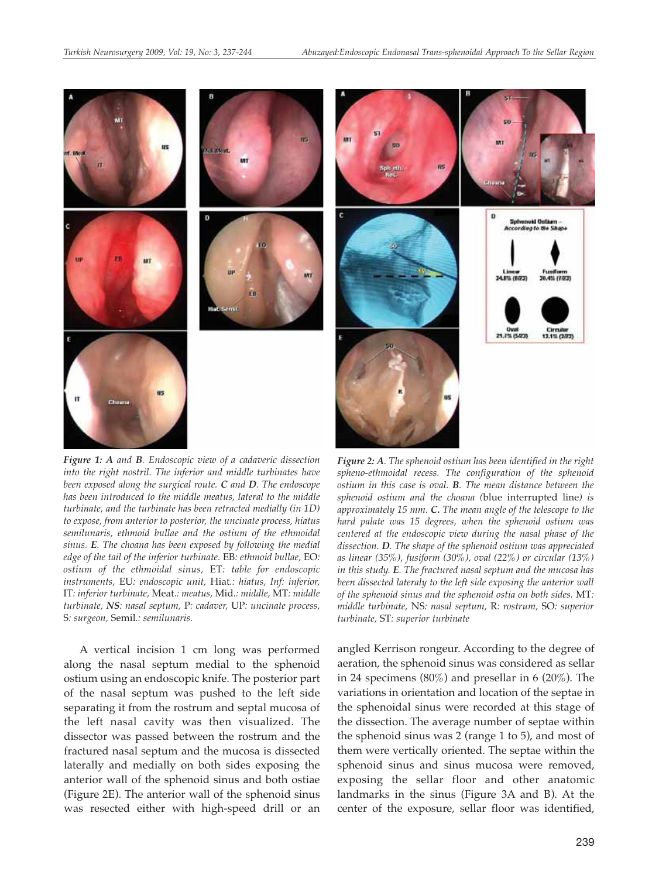

*Figure 1: A and B. Endoscopic view of a cadaveric dissection into the right nostril. The inferior and middle turbinates have been exposed along the surgical route. C and D. The endoscope has been introduced to the middle meatus, lateral to the middle turbinate, and the turbinate has been retracted medially (in 1D) to expose, from anterior to posterior, the uncinate process, hiatus semilunaris, ethmoid bullae and the ostium of the ethmoidal sinus. E. The choana has been exposed by following the medial edge of the tail of the inferior turbinate.* EB*: ethmoid bullae,* EO*: ostium of the ethmoidal sinus,* ET*: table for endoscopic instruments,* EU*: endoscopic unit,* Hiat*.: hiatus, Inf: inferior,* IT*: inferior turbinate,* Meat*.: meatus,* Mid.*: middle,* MT*: middle turbinate, NS: nasal septum,* P*: cadaver,* UP*: uncinate process,* S*: surgeon,* Semil*.: semilunaris.*

A vertical incision 1 cm long was performed along the nasal septum medial to the sphenoid ostium using an endoscopic knife. The posterior part of the nasal septum was pushed to the left side separating it from the rostrum and septal mucosa of the left nasal cavity was then visualized. The dissector was passed between the rostrum and the fractured nasal septum and the mucosa is dissected laterally and medially on both sides exposing the anterior wall of the sphenoid sinus and both ostiae (Figure 2E). The anterior wall of the sphenoid sinus was resected either with high-speed drill or an

*Figure 2: A. The sphenoid ostium has been identified in the right spheno-ethmoidal recess. The configuration of the sphenoid ostium in this case is oval. B. The mean distance between the sphenoid ostium and the choana (*blue interrupted line*) is approximately 15 mm. C. The mean angle of the telescope to the hard palate was 15 degrees, when the sphenoid ostium was centered at the endoscopic view during the nasal phase of the dissection. D. The shape of the sphenoid ostium was appreciated as linear (35%), fusiform (30%), oval (22%) or circular (13%) in this study. E. The fractured nasal septum and the mucosa has been dissected lateraly to the left side exposing the anterior wall of the sphenoid sinus and the sphenoid ostia on both sides.* MT*: middle turbinate,* NS*: nasal septum,* R*: rostrum,* SO*: superior turbinate,* ST*: superior turbinate*

angled Kerrison rongeur. According to the degree of aeration, the sphenoid sinus was considered as sellar in 24 specimens (80%) and presellar in 6 (20%). The variations in orientation and location of the septae in the sphenoidal sinus were recorded at this stage of the dissection. The average number of septae within the sphenoid sinus was 2 (range 1 to 5), and most of them were vertically oriented. The septae within the sphenoid sinus and sinus mucosa were removed, exposing the sellar floor and other anatomic landmarks in the sinus (Figure 3A and B). At the center of the exposure, sellar floor was identified,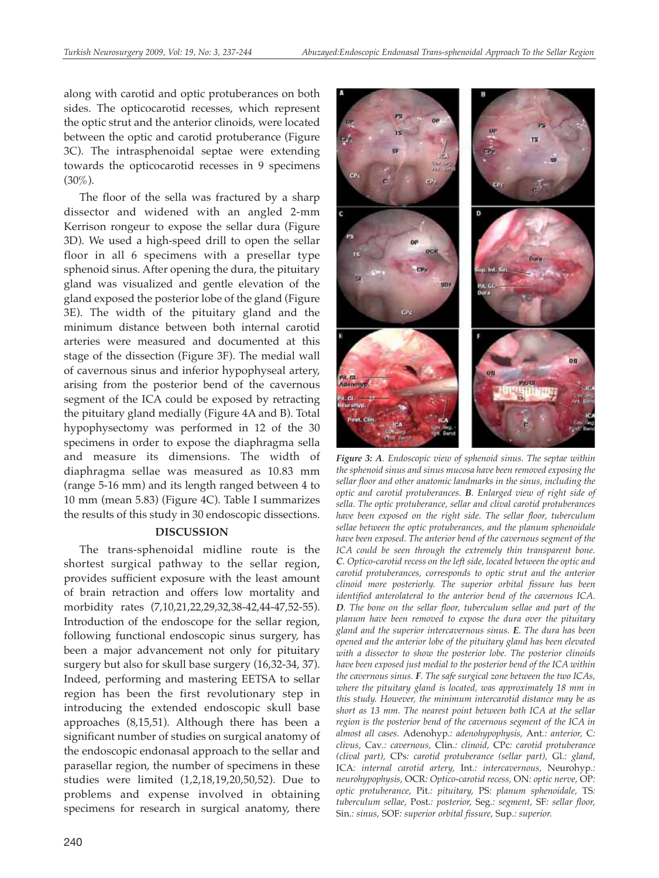along with carotid and optic protuberances on both sides. The opticocarotid recesses, which represent the optic strut and the anterior clinoids, were located between the optic and carotid protuberance (Figure 3C). The intrasphenoidal septae were extending towards the opticocarotid recesses in 9 specimens (30%).

The floor of the sella was fractured by a sharp dissector and widened with an angled 2-mm Kerrison rongeur to expose the sellar dura (Figure 3D). We used a high-speed drill to open the sellar floor in all 6 specimens with a presellar type sphenoid sinus. After opening the dura, the pituitary gland was visualized and gentle elevation of the gland exposed the posterior lobe of the gland (Figure 3E). The width of the pituitary gland and the minimum distance between both internal carotid arteries were measured and documented at this stage of the dissection (Figure 3F). The medial wall of cavernous sinus and inferior hypophyseal artery, arising from the posterior bend of the cavernous segment of the ICA could be exposed by retracting the pituitary gland medially (Figure 4A and B). Total hypophysectomy was performed in 12 of the 30 specimens in order to expose the diaphragma sella and measure its dimensions. The width of diaphragma sellae was measured as 10.83 mm (range 5-16 mm) and its length ranged between 4 to 10 mm (mean 5.83) (Figure 4C). Table I summarizes the results of this study in 30 endoscopic dissections.

### **DISCUSSION**

The trans-sphenoidal midline route is the shortest surgical pathway to the sellar region, provides sufficient exposure with the least amount of brain retraction and offers low mortality and morbidity rates (7,10,21,22,29,32,38-42,44-47,52-55). Introduction of the endoscope for the sellar region, following functional endoscopic sinus surgery, has been a major advancement not only for pituitary surgery but also for skull base surgery (16,32-34, 37). Indeed, performing and mastering EETSA to sellar region has been the first revolutionary step in introducing the extended endoscopic skull base approaches (8,15,51). Although there has been a significant number of studies on surgical anatomy of the endoscopic endonasal approach to the sellar and parasellar region, the number of specimens in these studies were limited (1,2,18,19,20,50,52). Due to problems and expense involved in obtaining specimens for research in surgical anatomy, there



*Figure 3: A. Endoscopic view of sphenoid sinus. The septae within the sphenoid sinus and sinus mucosa have been removed exposing the sellar floor and other anatomic landmarks in the sinus, including the optic and carotid protuberances. B. Enlarged view of right side of sella. The optic protuberance, sellar and clival carotid protuberances have been exposed on the right side. The sellar floor, tuberculum sellae between the optic protuberances, and the planum sphenoidale have been exposed. The anterior bend of the cavernous segment of the ICA could be seen through the extremely thin transparent bone. C. Optico-carotid recess on the left side, located between the optic and carotid protuberances, corresponds to optic strut and the anterior clinoid more posteriorly. The superior orbital fissure has been identified anterolateral to the anterior bend of the cavernous ICA. D. The bone on the sellar floor, tuberculum sellae and part of the planum have been removed to expose the dura over the pituitary gland and the superior intercavernous sinus. E. The dura has been opened and the anterior lobe of the pituitary gland has been elevated with a dissector to show the posterior lobe. The posterior clinoids have been exposed just medial to the posterior bend of the ICA within the cavernous sinus. F. The safe surgical zone between the two ICAs, where the pituitary gland is located, was approximately 18 mm in this study. However, the minimum intercarotid distance may be as short as 13 mm. The nearest point between both ICA at the sellar region is the posterior bend of the cavernous segment of the ICA in almost all cases.* Adenohyp*.: adenohypophysis,* Ant*.: anterior,* C*: clivus,* Cav*.: cavernous,* Clin*.: clinoid,* CPc*: carotid protuberance (clival part),* CPs*: carotid protuberance (sellar part),* Gl*.: gland,* ICA*: internal carotid artery,* Int*.: intercavernous,* Neurohyp*.: neurohypophysis,* OCR*: Optico-carotid recess,* ON*: optic nerve,* OP*: optic protuberance,* Pit*.: pituitary,* PS*: planum sphenoidale,* TS*: tuberculum sellae,* Post*.: posterior,* Seg*.: segment,* SF*: sellar floor,* Sin*.: sinus,* SOF*: superior orbital fissure,* Sup*.: superior.*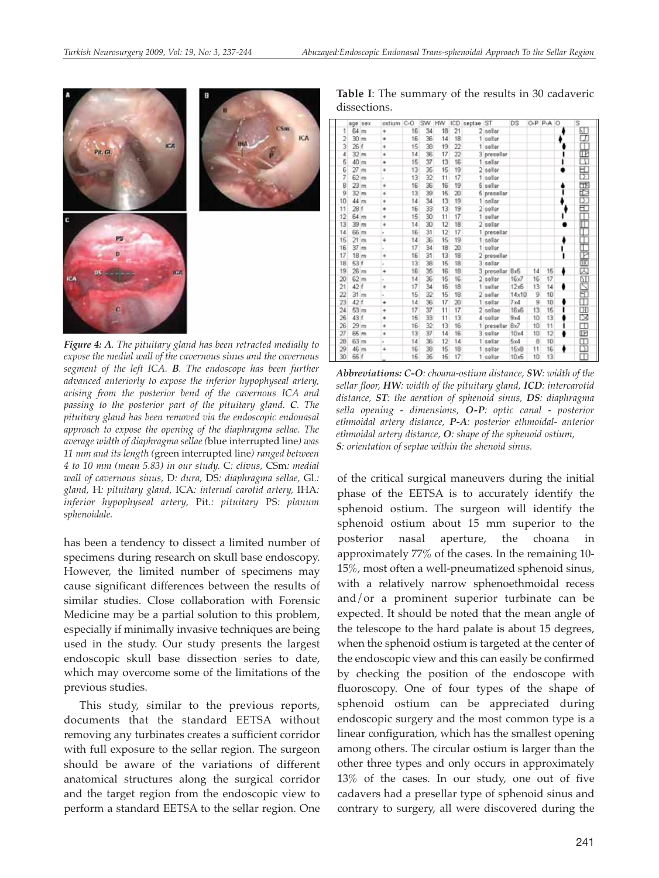

*Figure 4: A. The pituitary gland has been retracted medially to expose the medial wall of the cavernous sinus and the cavernous segment of the left ICA. B. The endoscope has been further advanced anteriorly to expose the inferior hypophyseal artery, arising from the posterior bend of the cavernous ICA and passing to the posterior part of the pituitary gland. C. The pituitary gland has been removed via the endoscopic endonasal approach to expose the opening of the diaphragma sellae. The average width of diaphragma sellae (*blue interrupted line*) was 11 mm and its length (*green interrupted line*) ranged between 4 to 10 mm (mean 5.83) in our study.* C*: clivus,* CSm*: medial wall of cavernous sinus,* D*: dura,* DS*: diaphragma sellae,* Gl*.: gland,* H*: pituitary gland,* ICA*: internal carotid artery,* IHA*: inferior hypophyseal artery,* Pit*.: pituitary* PS*: planum sphenoidale.*

has been a tendency to dissect a limited number of specimens during research on skull base endoscopy. However, the limited number of specimens may cause significant differences between the results of similar studies. Close collaboration with Forensic Medicine may be a partial solution to this problem, especially if minimally invasive techniques are being used in the study. Our study presents the largest endoscopic skull base dissection series to date, which may overcome some of the limitations of the previous studies.

This study, similar to the previous reports, documents that the standard EETSA without removing any turbinates creates a sufficient corridor with full exposure to the sellar region. The surgeon should be aware of the variations of different anatomical structures along the surgical corridor and the target region from the endoscopic view to perform a standard EETSA to the sellar region. One

**Table I**: The summary of the results in 30 cadaveric dissections.

|                |                  | age sex | ostium | C-O | SW                       | HW | ICD             | septae ST |             | DS    |    | O-P P-A | $\circ$ | Ś                       |
|----------------|------------------|---------|--------|-----|--------------------------|----|-----------------|-----------|-------------|-------|----|---------|---------|-------------------------|
| 1              | 64 m             |         | ÷      | 16  | 34                       | 18 | 21              |           | 2 sellar    |       |    |         |         | 吅                       |
| $\overline{2}$ | 30 m             |         | ٠      | 16  | 36                       | 14 | 18              |           | 1 sellar    |       |    |         |         | ॻ                       |
|                | 26 f             |         | ٠      | 15  | $\overline{\mathcal{L}}$ | 19 | 22              |           | 1 sellar    |       |    |         |         | m                       |
| 4              | 32 m             |         | ٠      | 14  | 笺                        | 17 | $\overline{22}$ | ä         | presellar   |       |    |         |         |                         |
| 5              | 40               | m       | ۰      | 15  | 37                       | 13 | 16              |           | 1 sellar    |       |    |         |         | 閛                       |
| $\frac{6}{7}$  | 27               | Im      | ÷      | 13  | 35                       | 15 | 19              |           | 2 sellar    |       |    |         |         | 果                       |
|                | 62 m             |         | u.     | 13  | 32                       | 11 | 17              |           | 1 sellar    |       |    |         |         |                         |
| 8              | 23               | m       | ۰      | 16  | 36                       | 16 | 19              | 5         | sellar      |       |    |         |         | 医眼区                     |
| 9              | 32 m             |         | ë      | 13  | 39                       | 15 | 20              | 5         | presellar   |       |    |         |         |                         |
| 10             | 44m              |         | ÷      | 14  | 34                       | 13 | 19              |           | 1 sellar    |       |    |         |         |                         |
| 11             | 28 f             |         | ٠      | 16  | 33                       | 13 | 19              | 2         | sellar      |       |    |         |         | Ð                       |
| 12             | 64 m             |         | ٠      | 15  | 30                       | 11 | 17              | 1         | sellar      |       |    |         |         |                         |
| 13             | 39               | m       | ۰      | 14  | 30                       | 12 | 18              | 2         | sellar      |       |    |         |         | Π                       |
| 14             | 66 m             |         | u      | 16  | 31                       | 12 | 17              |           | 1 presellar |       |    |         |         |                         |
| 15             | 21 <sub>m</sub>  |         | ÷      | 14  | 36                       | 15 | 19              |           | 1 sellar    |       |    |         |         |                         |
| 16             | 37 <sub>mm</sub> |         | ×      | 17  | 34                       | 18 | 20              | 1         | sellar      |       |    |         |         | 医圆冠毛                    |
| 17             | 18 <sub>m</sub>  |         | ۰      | 16  | 31                       | 13 | 18              |           | presellar   |       |    |         |         |                         |
| 18             | 53 f             |         | u      | 13  | 38                       | 15 | 18              |           | 3 sellar    |       |    |         |         |                         |
| 19             | 26m              |         | ÷      | 16  | 35                       | 16 | 18              |           | 3 presellar | 8x5   | 14 | 15      | ٠       |                         |
| 20             | 62 m             |         | ×      | 14  | 36                       | 15 | 16              |           | sellar      | 16x7  | 16 | 17      |         | 88.88                   |
| 21             | 42 f             |         | ٠      | 17  | 34                       | 16 | 18              |           | 1 sellar    | 12x6  | 13 | 14      | ٠       |                         |
| 22             | 31 m             |         | u      | 15  | 32                       | 15 | 18              | 2         | sellar      | 14x10 | 9  | 10      |         |                         |
| 23             | 42 f             |         | ۰      | 14  | 36                       | 17 | 20              |           | 1 sellar    | 7x4   | 9  | 10      | ā       |                         |
| 24             | 53 m             |         | ÷      | 17  | 37                       | 11 | 17              |           | 2 sellae    | 16x5  | 13 | 15      |         | ₩                       |
| 26             | 43 f             |         | ٠      | 15  | 33                       | 11 | 13              | 4         | sellar      | 9x4   | 10 | 13      |         |                         |
| 26             | 29 m             |         | ٠      | 16  | 32                       | 13 | 16              |           | presellar   | 8x7   | 10 | 11      |         | $\Box$                  |
| 27             | 65 m             |         | ۰      | 13  | 37                       | 14 | 16              |           | 3 sellar    | 10x4  | 10 | 12      |         | $\overline{\mathbb{F}}$ |
| 28             | 63 m             |         | u      | 14  | 36                       | 12 | 14              |           | 1 sellar    | 5x4   | 8  | 10      |         | 3                       |
| 29             | 46 m             |         | ÷      | 16  | 38                       | 15 | 18              |           | 1 sellar    | 15xB  | 11 | 16      |         |                         |
| 30             | 55 f             |         |        | 15  | 35                       | 15 | 17              |           | 1 sellar    | 10x5  | 10 | 13      |         |                         |

*Abbreviations: C-O: choana-ostium distance, SW: width of the sellar floor, HW: width of the pituitary gland, ICD: intercarotid distance, ST: the aeration of sphenoid sinus, DS: diaphragma sella opening - dimensions, O-P: optic canal - posterior ethmoidal artery distance, P-A: posterior ethmoidal- anterior ethmoidal artery distance, O: shape of the sphenoid ostium, S: orientation of septae within the shenoid sinus.*

of the critical surgical maneuvers during the initial phase of the EETSA is to accurately identify the sphenoid ostium. The surgeon will identify the sphenoid ostium about 15 mm superior to the posterior nasal aperture, the choana in approximately 77% of the cases. In the remaining 10- 15%, most often a well-pneumatized sphenoid sinus, with a relatively narrow sphenoethmoidal recess and/or a prominent superior turbinate can be expected. It should be noted that the mean angle of the telescope to the hard palate is about 15 degrees, when the sphenoid ostium is targeted at the center of the endoscopic view and this can easily be confirmed by checking the position of the endoscope with fluoroscopy. One of four types of the shape of sphenoid ostium can be appreciated during endoscopic surgery and the most common type is a linear configuration, which has the smallest opening among others. The circular ostium is larger than the other three types and only occurs in approximately 13% of the cases. In our study, one out of five cadavers had a presellar type of sphenoid sinus and contrary to surgery, all were discovered during the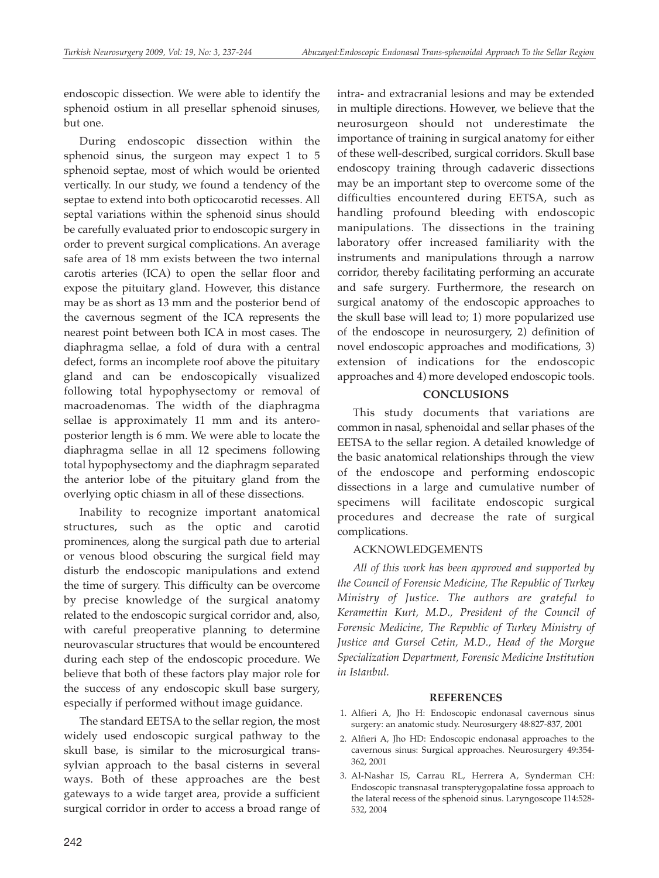endoscopic dissection. We were able to identify the sphenoid ostium in all presellar sphenoid sinuses, but one.

During endoscopic dissection within the sphenoid sinus, the surgeon may expect 1 to 5 sphenoid septae, most of which would be oriented vertically. In our study, we found a tendency of the septae to extend into both opticocarotid recesses. All septal variations within the sphenoid sinus should be carefully evaluated prior to endoscopic surgery in order to prevent surgical complications. An average safe area of 18 mm exists between the two internal carotis arteries (ICA) to open the sellar floor and expose the pituitary gland. However, this distance may be as short as 13 mm and the posterior bend of the cavernous segment of the ICA represents the nearest point between both ICA in most cases. The diaphragma sellae, a fold of dura with a central defect, forms an incomplete roof above the pituitary gland and can be endoscopically visualized following total hypophysectomy or removal of macroadenomas. The width of the diaphragma sellae is approximately 11 mm and its anteroposterior length is 6 mm. We were able to locate the diaphragma sellae in all 12 specimens following total hypophysectomy and the diaphragm separated the anterior lobe of the pituitary gland from the overlying optic chiasm in all of these dissections.

Inability to recognize important anatomical structures, such as the optic and carotid prominences, along the surgical path due to arterial or venous blood obscuring the surgical field may disturb the endoscopic manipulations and extend the time of surgery. This difficulty can be overcome by precise knowledge of the surgical anatomy related to the endoscopic surgical corridor and, also, with careful preoperative planning to determine neurovascular structures that would be encountered during each step of the endoscopic procedure. We believe that both of these factors play major role for the success of any endoscopic skull base surgery, especially if performed without image guidance.

The standard EETSA to the sellar region, the most widely used endoscopic surgical pathway to the skull base, is similar to the microsurgical transsylvian approach to the basal cisterns in several ways. Both of these approaches are the best gateways to a wide target area, provide a sufficient surgical corridor in order to access a broad range of intra- and extracranial lesions and may be extended in multiple directions. However, we believe that the neurosurgeon should not underestimate the importance of training in surgical anatomy for either of these well-described, surgical corridors. Skull base endoscopy training through cadaveric dissections may be an important step to overcome some of the difficulties encountered during EETSA, such as handling profound bleeding with endoscopic manipulations. The dissections in the training laboratory offer increased familiarity with the instruments and manipulations through a narrow corridor, thereby facilitating performing an accurate and safe surgery. Furthermore, the research on surgical anatomy of the endoscopic approaches to the skull base will lead to; 1) more popularized use of the endoscope in neurosurgery, 2) definition of novel endoscopic approaches and modifications, 3) extension of indications for the endoscopic approaches and 4) more developed endoscopic tools.

# **CONCLUSIONS**

This study documents that variations are common in nasal, sphenoidal and sellar phases of the EETSA to the sellar region. A detailed knowledge of the basic anatomical relationships through the view of the endoscope and performing endoscopic dissections in a large and cumulative number of specimens will facilitate endoscopic surgical procedures and decrease the rate of surgical complications.

# ACKNOWLEDGEMENTS

*All of this work has been approved and supported by the Council of Forensic Medicine, The Republic of Turkey Ministry of Justice. The authors are grateful to Keramettin Kurt, M.D., President of the Council of Forensic Medicine, The Republic of Turkey Ministry of Justice and Gursel Cetin, M.D., Head of the Morgue Specialization Department, Forensic Medicine Institution in Istanbul.* 

## **REFERENCES**

- 1. Alfieri A, Jho H: Endoscopic endonasal cavernous sinus surgery: an anatomic study. Neurosurgery 48:827-837, 2001
- 2. Alfieri A, Jho HD: Endoscopic endonasal approaches to the cavernous sinus: Surgical approaches. Neurosurgery 49:354- 362, 2001
- 3. Al-Nashar IS, Carrau RL, Herrera A, Synderman CH: Endoscopic transnasal transpterygopalatine fossa approach to the lateral recess of the sphenoid sinus. Laryngoscope 114:528- 532, 2004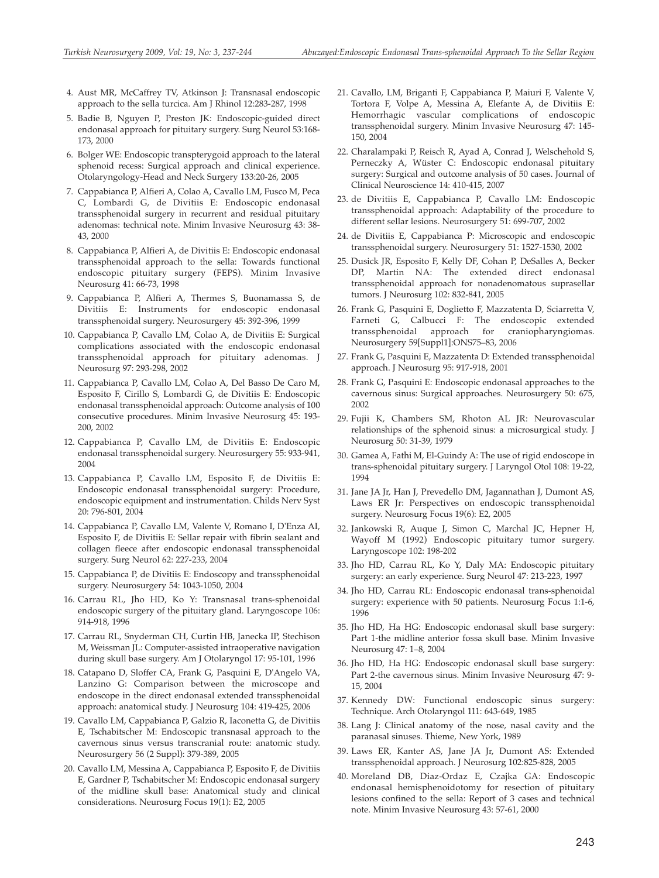- 4. Aust MR, McCaffrey TV, Atkinson J: Transnasal endoscopic approach to the sella turcica. Am J Rhinol 12:283-287, 1998
- 5. Badie B, Nguyen P, Preston JK: Endoscopic-guided direct endonasal approach for pituitary surgery. Surg Neurol 53:168- 173, 2000
- 6. Bolger WE: Endoscopic transpterygoid approach to the lateral sphenoid recess: Surgical approach and clinical experience. Otolaryngology-Head and Neck Surgery 133:20-26, 2005
- 7. Cappabianca P, Alfieri A, Colao A, Cavallo LM, Fusco M, Peca C, Lombardi G, de Divitiis E: Endoscopic endonasal transsphenoidal surgery in recurrent and residual pituitary adenomas: technical note. Minim Invasive Neurosurg 43: 38- 43, 2000
- 8. Cappabianca P, Alfieri A, de Divitiis E: Endoscopic endonasal transsphenoidal approach to the sella: Towards functional endoscopic pituitary surgery (FEPS). Minim Invasive Neurosurg 41: 66-73, 1998
- 9. Cappabianca P, Alfieri A, Thermes S, Buonamassa S, de Divitiis E: Instruments for endoscopic endonasal transsphenoidal surgery. Neurosurgery 45: 392-396, 1999
- 10. Cappabianca P, Cavallo LM, Colao A, de Divitiis E: Surgical complications associated with the endoscopic endonasal transsphenoidal approach for pituitary adenomas. J Neurosurg 97: 293-298, 2002
- 11. Cappabianca P, Cavallo LM, Colao A, Del Basso De Caro M, Esposito F, Cirillo S, Lombardi G, de Divitiis E: Endoscopic endonasal transsphenoidal approach: Outcome analysis of 100 consecutive procedures. Minim Invasive Neurosurg 45: 193- 200, 2002
- 12. Cappabianca P, Cavallo LM, de Divitiis E: Endoscopic endonasal transsphenoidal surgery. Neurosurgery 55: 933-941, 2004
- 13. Cappabianca P, Cavallo LM, Esposito F, de Divitiis E: Endoscopic endonasal transsphenoidal surgery: Procedure, endoscopic equipment and instrumentation. Childs Nerv Syst 20: 796-801, 2004
- 14. Cappabianca P, Cavallo LM, Valente V, Romano I, D'Enza AI, Esposito F, de Divitiis E: Sellar repair with fibrin sealant and collagen fleece after endoscopic endonasal transsphenoidal surgery. Surg Neurol 62: 227-233, 2004
- 15. Cappabianca P, de Divitiis E: Endoscopy and transsphenoidal surgery. Neurosurgery 54: 1043-1050, 2004
- 16. Carrau RL, Jho HD, Ko Y: Transnasal trans-sphenoidal endoscopic surgery of the pituitary gland. Laryngoscope 106: 914-918, 1996
- 17. Carrau RL, Snyderman CH, Curtin HB, Janecka IP, Stechison M, Weissman JL: Computer-assisted intraoperative navigation during skull base surgery. Am J Otolaryngol 17: 95-101, 1996
- 18. Catapano D, Sloffer CA, Frank G, Pasquini E, D'Angelo VA, Lanzino G: Comparison between the microscope and endoscope in the direct endonasal extended transsphenoidal approach: anatomical study. J Neurosurg 104: 419-425, 2006
- 19. Cavallo LM, Cappabianca P, Galzio R, Iaconetta G, de Divitiis E, Tschabitscher M: Endoscopic transnasal approach to the cavernous sinus versus transcranial route: anatomic study. Neurosurgery 56 (2 Suppl): 379-389, 2005
- 20. Cavallo LM, Messina A, Cappabianca P, Esposito F, de Divitiis E, Gardner P, Tschabitscher M: Endoscopic endonasal surgery of the midline skull base: Anatomical study and clinical considerations. Neurosurg Focus 19(1): E2, 2005
- 21. Cavallo, LM, Briganti F, Cappabianca P, Maiuri F, Valente V, Tortora F, Volpe A, Messina A, Elefante A, de Divitiis E: Hemorrhagic vascular complications of endoscopic transsphenoidal surgery. Minim Invasive Neurosurg 47: 145- 150, 2004
- 22. Charalampaki P, Reisch R, Ayad A, Conrad J, Welschehold S, Perneczky A, Wüster C: Endoscopic endonasal pituitary surgery: Surgical and outcome analysis of 50 cases. Journal of Clinical Neuroscience 14: 410-415, 2007
- 23. de Divitiis E, Cappabianca P, Cavallo LM: Endoscopic transsphenoidal approach: Adaptability of the procedure to different sellar lesions. Neurosurgery 51: 699-707, 2002
- 24. de Divitiis E, Cappabianca P: Microscopic and endoscopic transsphenoidal surgery. Neurosurgery 51: 1527-1530, 2002
- 25. Dusick JR, Esposito F, Kelly DF, Cohan P, DeSalles A, Becker DP, Martin NA: The extended direct endonasal transsphenoidal approach for nonadenomatous suprasellar tumors. J Neurosurg 102: 832-841, 2005
- 26. Frank G, Pasquini E, Doglietto F, Mazzatenta D, Sciarretta V, Farneti G, Calbucci F: The endoscopic extended transsphenoidal approach for craniopharyngiomas. Neurosurgery 59[Suppl1]:ONS75–83, 2006
- 27. Frank G, Pasquini E, Mazzatenta D: Extended transsphenoidal approach. J Neurosurg 95: 917-918, 2001
- 28. Frank G, Pasquini E: Endoscopic endonasal approaches to the cavernous sinus: Surgical approaches. Neurosurgery 50: 675, 2002
- 29. Fujii K, Chambers SM, Rhoton AL JR: Neurovascular relationships of the sphenoid sinus: a microsurgical study. J Neurosurg 50: 31-39, 1979
- 30. Gamea A, Fathi M, El-Guindy A: The use of rigid endoscope in trans-sphenoidal pituitary surgery. J Laryngol Otol 108: 19-22, 1994
- 31. Jane JA Jr, Han J, Prevedello DM, Jagannathan J, Dumont AS, Laws ER Jr: Perspectives on endoscopic transsphenoidal surgery. Neurosurg Focus 19(6): E2, 2005
- 32. Jankowski R, Auque J, Simon C, Marchal JC, Hepner H, Wayoff M (1992) Endoscopic pituitary tumor surgery. Laryngoscope 102: 198-202
- 33. Jho HD, Carrau RL, Ko Y, Daly MA: Endoscopic pituitary surgery: an early experience. Surg Neurol 47: 213-223, 1997
- 34. Jho HD, Carrau RL: Endoscopic endonasal trans-sphenoidal surgery: experience with 50 patients. Neurosurg Focus 1:1-6, 1996
- 35. Jho HD, Ha HG: Endoscopic endonasal skull base surgery: Part 1-the midline anterior fossa skull base. Minim Invasive Neurosurg 47: 1–8, 2004
- 36. Jho HD, Ha HG: Endoscopic endonasal skull base surgery: Part 2-the cavernous sinus. Minim Invasive Neurosurg 47: 9- 15, 2004
- 37. Kennedy DW: Functional endoscopic sinus surgery: Technique. Arch Otolaryngol 111: 643-649, 1985
- 38. Lang J: Clinical anatomy of the nose, nasal cavity and the paranasal sinuses. Thieme, New York, 1989
- 39. Laws ER, Kanter AS, Jane JA Jr, Dumont AS: Extended transsphenoidal approach. J Neurosurg 102:825-828, 2005
- 40. Moreland DB, Diaz-Ordaz E, Czajka GA: Endoscopic endonasal hemisphenoidotomy for resection of pituitary lesions confined to the sella: Report of 3 cases and technical note. Minim Invasive Neurosurg 43: 57-61, 2000